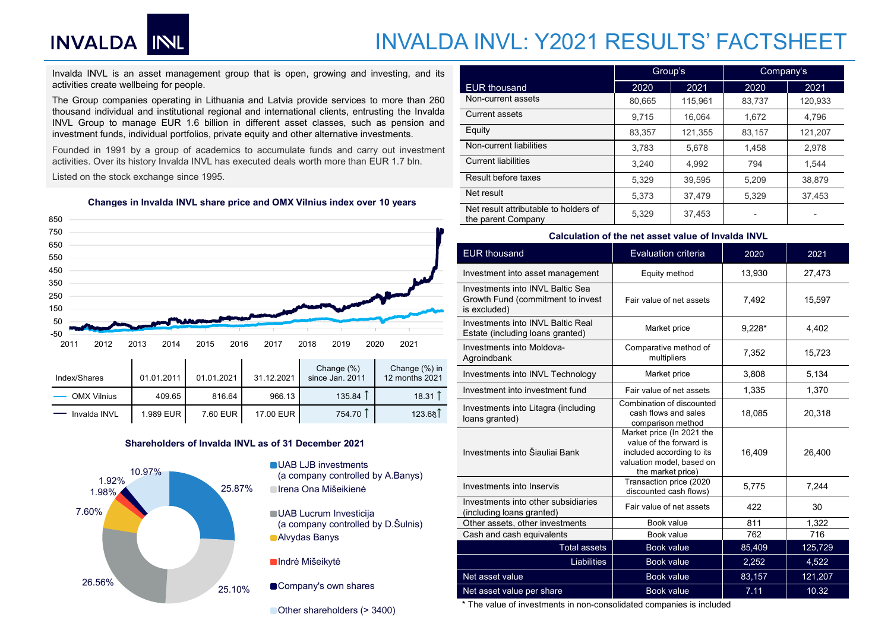## INVALDA INVL: Y2021 RESULTS' FACTSHEET



| IIIUGMOIIGICO | <b>UI.UI.</b> ZUII | <b>UI.UI.</b> ZUZI | <b>JI.IL.LULI</b> | $3110G$ Jan. $2011$ | <u>IZ IIIVIILII ZUZ I</u> |
|---------------|--------------------|--------------------|-------------------|---------------------|---------------------------|
| OMX Vilnius   | 409.65             | 816.64             | 966.13            | 135.84              | 18.31                     |
| Invalda INVL  | 1.989 EUR          | 7.60 EUR           | 17.00 EUR         | 754.70              | 123.681                   |



- 
- (a company controlled by D.Šulnis) Alvydas Banys
- **Indrė Mišeikytė**
- 

| INVALDA INL                                                                                                                                                                                 |              |              |            |                                                                         |                                 | <b>INVALDA INVL: Y2021 RESULTS' FACTSHEET</b>                         |                                      |         |           |         |
|---------------------------------------------------------------------------------------------------------------------------------------------------------------------------------------------|--------------|--------------|------------|-------------------------------------------------------------------------|---------------------------------|-----------------------------------------------------------------------|--------------------------------------|---------|-----------|---------|
|                                                                                                                                                                                             |              |              |            |                                                                         |                                 |                                                                       |                                      |         |           |         |
| Invalda INVL is an asset management group that is open, growing and investing, and its                                                                                                      |              |              |            |                                                                         |                                 |                                                                       | Group's                              |         | Company's |         |
| activities create wellbeing for people.                                                                                                                                                     |              |              |            |                                                                         |                                 | <b>EUR thousand</b>                                                   | 2020                                 | 2021    | 2020      | 2021    |
| The Group companies operating in Lithuania and Latvia provide services to more than 260<br>thousand individual and institutional regional and international clients, entrusting the Invalda |              |              |            |                                                                         |                                 | Non-current assets                                                    | 80,665                               | 115,961 | 83,737    | 120,933 |
| INVL Group to manage EUR 1.6 billion in different asset classes, such as pension and                                                                                                        |              |              |            |                                                                         |                                 | <b>Current assets</b>                                                 | 9,715                                | 16,064  | 1,672     | 4,796   |
| investment funds, individual portfolios, private equity and other alternative investments.                                                                                                  |              |              |            |                                                                         |                                 | Equity                                                                | 83,357                               | 121,355 | 83,157    | 121,207 |
| Founded in 1991 by a group of academics to accumulate funds and carry out investment                                                                                                        |              |              |            |                                                                         |                                 | Non-current liabilities                                               | 3,783                                | 5,678   | 1,458     | 2,978   |
| activities. Over its history Invalda INVL has executed deals worth more than EUR 1.7 bln.                                                                                                   |              |              |            |                                                                         |                                 | <b>Current liabilities</b>                                            | 3.240                                | 4.992   | 794       | 1,544   |
| Listed on the stock exchange since 1995.                                                                                                                                                    |              |              |            |                                                                         |                                 | Result before taxes                                                   | 5,329                                | 39,595  | 5,209     | 38,879  |
|                                                                                                                                                                                             |              |              |            | Changes in Invalda INVL share price and OMX Vilnius index over 10 years |                                 | Net result                                                            | 5,373                                | 37,479  | 5,329     | 37,453  |
| 50                                                                                                                                                                                          |              |              |            |                                                                         |                                 | Net result attributable to holders of<br>the parent Company           | 5,329                                | 37.453  | $\sim$    |         |
| 50                                                                                                                                                                                          |              |              |            |                                                                         |                                 | Calculation of the net asset value of Invalda INVL                    |                                      |         |           |         |
| 50<br>50                                                                                                                                                                                    |              |              |            |                                                                         |                                 | <b>EUR</b> thousand                                                   | <b>Evaluation criteria</b>           |         | 2020      | 2021    |
| 50                                                                                                                                                                                          |              |              |            |                                                                         |                                 | Investment into asset management                                      | Equity method                        |         | 13,930    | 27,473  |
| 50                                                                                                                                                                                          |              |              |            |                                                                         |                                 | Investments into INVL Baltic Sea                                      |                                      |         |           |         |
| 50<br>50                                                                                                                                                                                    |              |              |            |                                                                         |                                 | Growth Fund (commitment to invest<br>is excluded)                     | Fair value of net assets             |         | 7,492     | 15,597  |
| 50<br>$-50$                                                                                                                                                                                 |              |              |            |                                                                         |                                 | Investments into INVL Baltic Real<br>Estate (including loans granted) | Market price                         |         | $9,228*$  | 4,402   |
| 2011<br>2012                                                                                                                                                                                | 2013<br>2014 | 2016<br>2015 | 2017       | 2018<br>2019                                                            | 2021<br>2020                    | Investments into Moldova-<br>Agroindbank                              | Comparative method of<br>multipliers |         | 7,352     | 15,723  |
|                                                                                                                                                                                             | 01.01.2011   | 01.01.2021   | 31.12.2021 | Change (%)<br>since Jan. 2011                                           | Change (%) in<br>12 months 2021 | Investments into INVL Technology                                      | Market price                         |         | 3,808     | 5,134   |
|                                                                                                                                                                                             |              |              |            |                                                                         |                                 |                                                                       |                                      |         |           |         |
| Index/Shares<br><b>OMX Vilnius</b>                                                                                                                                                          | 409.65       | 816.64       | 966.13     | 135.84                                                                  | 18.31                           | Investment into investment fund                                       | Fair value of net assets             |         | 1,335     | 1,370   |

### Calculation of the net asset value of Invalda INVL

| ellbeing for people.                                                                                                                               | <b>EUR</b> thousand                                                                   | 2020                                               | 2021                                                                                                           | 2020     | 2021    |
|----------------------------------------------------------------------------------------------------------------------------------------------------|---------------------------------------------------------------------------------------|----------------------------------------------------|----------------------------------------------------------------------------------------------------------------|----------|---------|
| anies operating in Lithuania and Latvia provide services to more than 260                                                                          | Non-current assets                                                                    | 80,665                                             | 115,961                                                                                                        | 83,737   | 120,933 |
| al and institutional regional and international clients, entrusting the Invalda                                                                    | Current assets                                                                        | 9,715                                              | 16,064                                                                                                         | 1,672    | 4,796   |
| nanage EUR 1.6 billion in different asset classes, such as pension and<br>individual portfolios, private equity and other alternative investments. | Equity                                                                                | 83,357                                             | 121,355                                                                                                        | 83,157   | 121,207 |
| by a group of academics to accumulate funds and carry out investment                                                                               | Non-current liabilities                                                               | 3,783                                              | 5,678                                                                                                          | 1,458    | 2,978   |
| history Invalda INVL has executed deals worth more than EUR 1.7 bln.                                                                               | <b>Current liabilities</b>                                                            | 3,240                                              | 4,992                                                                                                          | 794      | 1,544   |
| k exchange since 1995.                                                                                                                             | Result before taxes                                                                   |                                                    |                                                                                                                |          |         |
|                                                                                                                                                    | Net result                                                                            | 5,329                                              | 39,595                                                                                                         | 5,209    | 38,879  |
| in Invalda INVL share price and OMX Vilnius index over 10 years                                                                                    |                                                                                       | 5,373                                              | 37,479                                                                                                         | 5,329    | 37,453  |
|                                                                                                                                                    | Net result attributable to holders of<br>the parent Company                           | 5,329                                              | 37,453                                                                                                         |          | $\sim$  |
|                                                                                                                                                    |                                                                                       | Calculation of the net asset value of Invalda INVL |                                                                                                                |          |         |
|                                                                                                                                                    | <b>EUR</b> thousand                                                                   |                                                    | Evaluation criteria                                                                                            | 2020     | 2021    |
|                                                                                                                                                    | Investment into asset management                                                      |                                                    | Equity method                                                                                                  | 13,930   | 27,473  |
|                                                                                                                                                    | Investments into INVL Baltic Sea<br>Growth Fund (commitment to invest<br>is excluded) |                                                    | Fair value of net assets                                                                                       | 7,492    | 15,597  |
|                                                                                                                                                    | Investments into INVL Baltic Real<br>Estate (including loans granted)                 |                                                    | Market price                                                                                                   | $9,228*$ | 4,402   |
| 2020<br>2016<br>2017<br>2018<br>2019<br>2015<br>2013<br>2014                                                                                       | 2021<br>Investments into Moldova-<br>Agroindbank                                      |                                                    | Comparative method of<br>multipliers                                                                           | 7,352    | 15,723  |
| Change (%)<br>01.01.2011<br>01.01.2021<br>31.12.2021<br>since Jan. 2011                                                                            | Change (%) in<br>Investments into INVL Technology<br>12 months 2021                   |                                                    | Market price                                                                                                   | 3,808    | 5,134   |
| 135.84<br>816.64<br>409.65<br>966.13                                                                                                               | Investment into investment fund<br>$18.31$ $\uparrow$                                 |                                                    | Fair value of net assets                                                                                       | 1,335    | 1,370   |
| 754.70 ↑<br>7.60 EUR<br>1.989 EUR<br>17.00 EUR                                                                                                     | Investments into Litagra (including<br>123.68<br>loans granted)                       |                                                    | Combination of discounted<br>cash flows and sales<br>comparison method                                         | 18,085   | 20,318  |
| Shareholders of Invalda INVL as of 31 December 2021<br><b>UAB LJB investments</b><br>10.97%                                                        | Investments into Šiauliai Bank                                                        | the market price)                                  | Market price (In 2021 the<br>value of the forward is<br>included according to its<br>valuation model, based on | 16,409   | 26,400  |
| (a company controlled by A.Banys)<br>25.87%<br>■ Irena Ona Mišeikienė                                                                              | Investments into Inservis                                                             |                                                    | Transaction price (2020<br>discounted cash flows)                                                              | 5,775    | 7,244   |
| <b>UAB Lucrum Investicija</b>                                                                                                                      | Investments into other subsidiaries<br>(including loans granted)                      |                                                    | Fair value of net assets                                                                                       | 422      | 30      |
| (a company controlled by D. Šulnis)                                                                                                                | Other assets, other investments                                                       |                                                    | Book value                                                                                                     | 811      | 1,322   |
| <b>Alvydas Banys</b>                                                                                                                               | Cash and cash equivalents                                                             |                                                    | Book value                                                                                                     | 762      | 716     |
|                                                                                                                                                    | Total assets                                                                          |                                                    | Book value                                                                                                     | 85,409   | 125,729 |
| Indrė Mišeikytė                                                                                                                                    | Liabilities                                                                           |                                                    | Book value                                                                                                     | 2,252    | 4,522   |
|                                                                                                                                                    | Net asset value                                                                       |                                                    | Book value                                                                                                     | 83,157   | 121,207 |
| Company's own shares                                                                                                                               |                                                                                       |                                                    | Book value                                                                                                     | 7.11     | 10.32   |